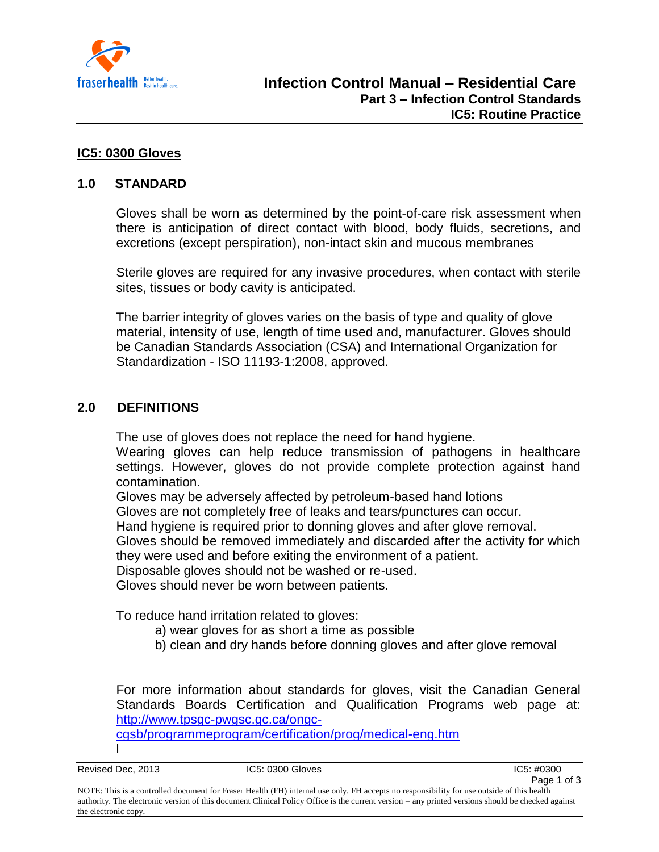

# **IC5: 0300 Gloves**

# **1.0 STANDARD**

Gloves shall be worn as determined by the point-of-care risk assessment when there is anticipation of direct contact with blood, body fluids, secretions, and excretions (except perspiration), non-intact skin and mucous membranes

Sterile gloves are required for any invasive procedures, when contact with sterile sites, tissues or body cavity is anticipated.

The barrier integrity of gloves varies on the basis of type and quality of glove material, intensity of use, length of time used and, manufacturer. Gloves should be Canadian Standards Association (CSA) and International Organization for Standardization - ISO 11193-1:2008, approved.

# **2.0 DEFINITIONS**

The use of gloves does not replace the need for hand hygiene.

Wearing gloves can help reduce transmission of pathogens in healthcare settings. However, gloves do not provide complete protection against hand contamination.

Gloves may be adversely affected by petroleum-based hand lotions

Gloves are not completely free of leaks and tears/punctures can occur.

Hand hygiene is required prior to donning gloves and after glove removal.

Gloves should be removed immediately and discarded after the activity for which they were used and before exiting the environment of a patient.

Disposable gloves should not be washed or re-used.

Gloves should never be worn between patients.

To reduce hand irritation related to gloves:

- a) wear gloves for as short a time as possible
- b) clean and dry hands before donning gloves and after glove removal

For more information about standards for gloves, visit the Canadian General Standards Boards Certification and Qualification Programs web page at: [http://www.tpsgc-pwgsc.gc.ca/ongc-](http://www.tpsgc-pwgsc.gc.ca/ongc-cgsb/programmeprogram/certification/prog/medical-eng.htm)

[cgsb/programmeprogram/certification/prog/medical-eng.htm](http://www.tpsgc-pwgsc.gc.ca/ongc-cgsb/programmeprogram/certification/prog/medical-eng.htm)

l

Revised Dec, 2013 **IC5: 0300 Gloves** IC5: 0300 Gloves IC5: #0300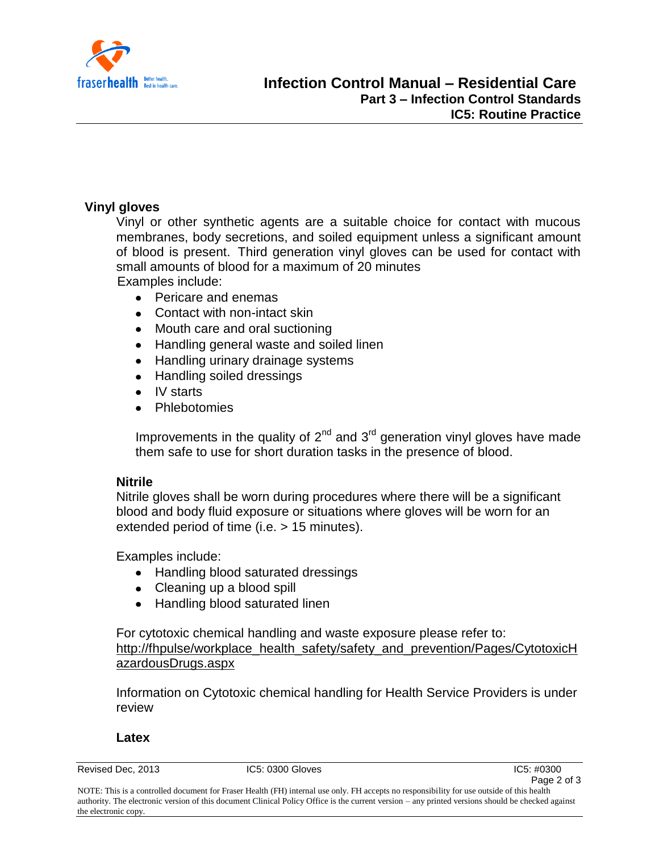

# **Vinyl gloves**

Vinyl or other synthetic agents are a suitable choice for contact with mucous membranes, body secretions, and soiled equipment unless a significant amount of blood is present. Third generation vinyl gloves can be used for contact with small amounts of blood for a maximum of 20 minutes Examples include:

- Pericare and enemas
- Contact with non-intact skin
- Mouth care and oral suctioning  $\bullet$
- Handling general waste and soiled linen
- Handling urinary drainage systems
- Handling soiled dressings
- IV starts
- Phlebotomies

Improvements in the quality of  $2^{nd}$  and  $3^{rd}$  generation vinyl gloves have made them safe to use for short duration tasks in the presence of blood.

# **Nitrile**

Nitrile gloves shall be worn during procedures where there will be a significant blood and body fluid exposure or situations where gloves will be worn for an extended period of time (i.e. > 15 minutes).

Examples include:

- Handling blood saturated dressings
- Cleaning up a blood spill
- Handling blood saturated linen

For cytotoxic chemical handling and waste exposure please refer to: [http://fhpulse/workplace\\_health\\_safety/safety\\_and\\_prevention/Pages/CytotoxicH](http://fhpulse/workplace_health_safety/safety_and_prevention/Pages/CytotoxicHazardousDrugs.aspx) [azardousDrugs.aspx](http://fhpulse/workplace_health_safety/safety_and_prevention/Pages/CytotoxicHazardousDrugs.aspx)

Information on Cytotoxic chemical handling for Health Service Providers is under review

#### **Latex**

Revised Dec, 2013 **IC5: 0300 Gloves** IC5: 0300 Gloves IC5: #0300